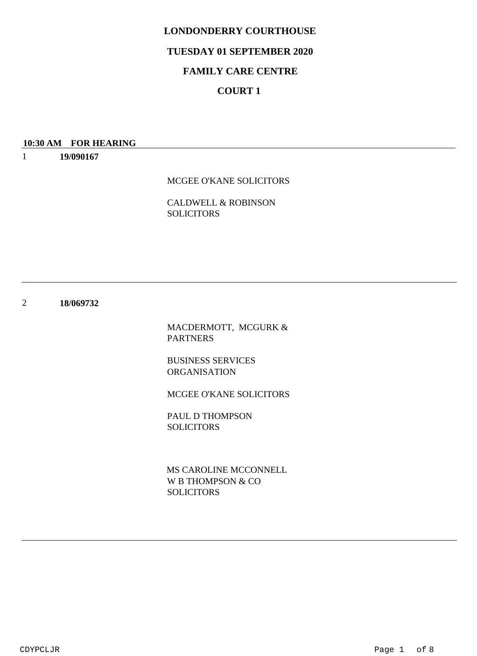## **TUESDAY 01 SEPTEMBER 2020**

# **FAMILY CARE CENTRE**

# **COURT 1**

#### **10:30 AM FOR HEARING**

1 **19/090167**

MCGEE O'KANE SOLICITORS

CALDWELL & ROBINSON **SOLICITORS** 

2 **18/069732**

> MACDERMOTT, MCGURK & PARTNERS

BUSINESS SERVICES ORGANISATION

MCGEE O'KANE SOLICITORS

PAUL D THOMPSON SOLICITORS

W B THOMPSON & CO SOLICITORS MS CAROLINE MCCONNELL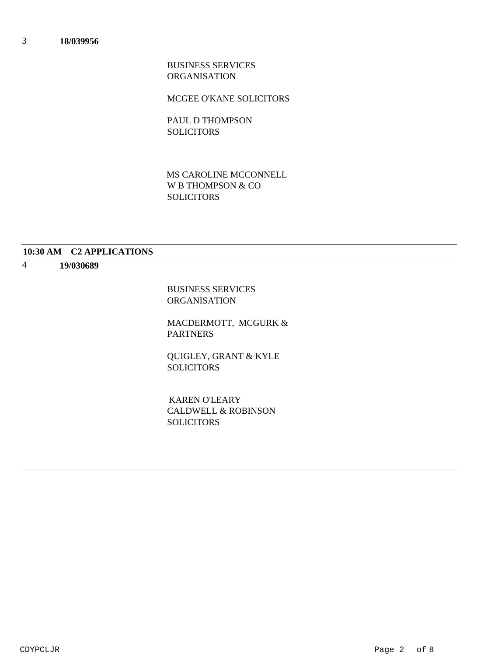BUSINESS SERVICES ORGANISATION

MCGEE O'KANE SOLICITORS

PAUL D THOMPSON SOLICITORS

W B THOMPSON & CO **SOLICITORS** MS CAROLINE MCCONNELL

## **10:30 AM C2 APPLICATIONS**

#### 4 **19/030689**

BUSINESS SERVICES ORGANISATION

MACDERMOTT, MCGURK & PARTNERS

QUIGLEY, GRANT & KYLE SOLICITORS

CALDWELL & ROBINSON **SOLICITORS** KAREN O'LEARY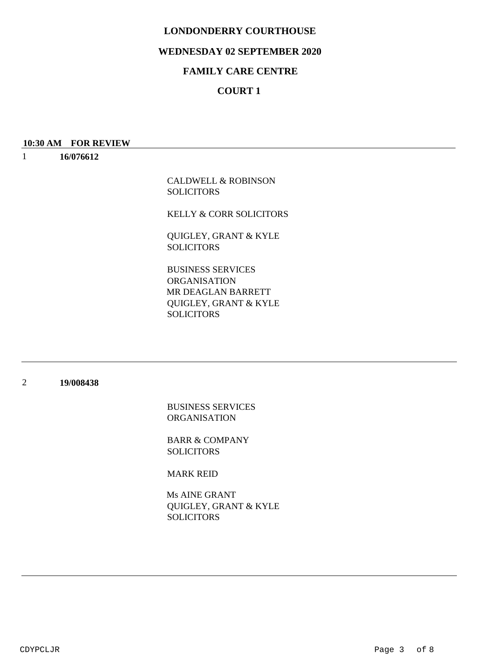## **WEDNESDAY 02 SEPTEMBER 2020**

# **FAMILY CARE CENTRE**

# **COURT 1**

#### **10:30 AM FOR REVIEW**

1 **16/076612**

> CALDWELL & ROBINSON **SOLICITORS**

KELLY & CORR SOLICITORS

QUIGLEY, GRANT & KYLE **SOLICITORS** 

BUSINESS SERVICES ORGANISATION QUIGLEY, GRANT & KYLE **SOLICITORS** MR DEAGLAN BARRETT

#### 2 **19/008438**

BUSINESS SERVICES ORGANISATION

BARR & COMPANY SOLICITORS

MARK REID

QUIGLEY, GRANT & KYLE SOLICITORS Ms AINE GRANT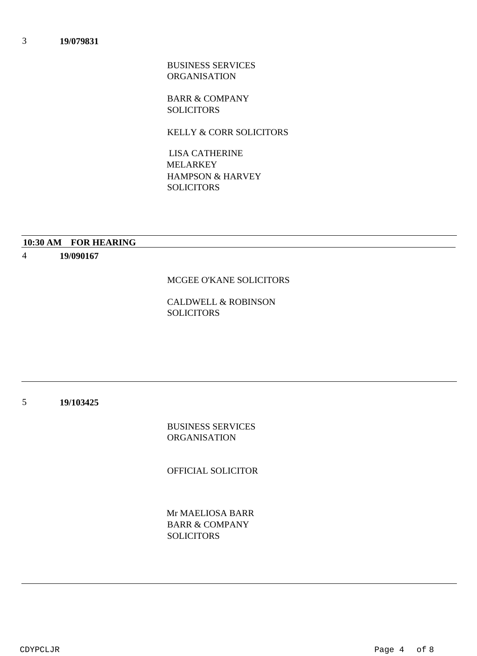BUSINESS SERVICES ORGANISATION

BARR & COMPANY **SOLICITORS** 

KELLY & CORR SOLICITORS

HAMPSON & HARVEY **SOLICITORS**  LISA CATHERINE MELARKEY

## **10:30 AM FOR HEARING**

4 **19/090167**

### MCGEE O'KANE SOLICITORS

CALDWELL & ROBINSON SOLICITORS

5 **19/103425**

> BUSINESS SERVICES ORGANISATION

OFFICIAL SOLICITOR

BARR & COMPANY **SOLICITORS** Mr MAELIOSA BARR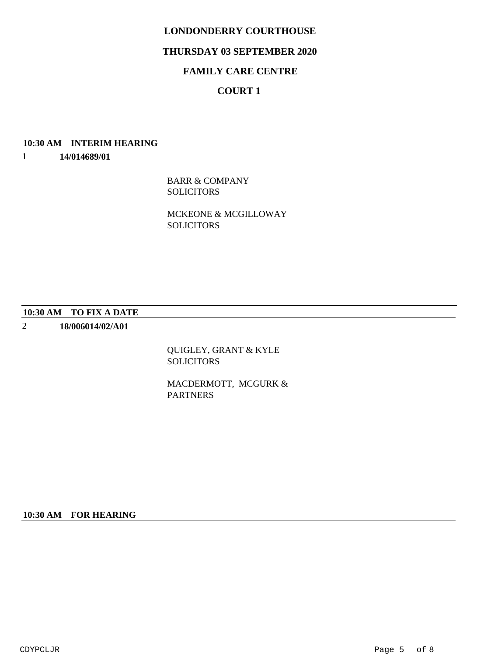## **THURSDAY 03 SEPTEMBER 2020**

# **FAMILY CARE CENTRE**

# **COURT 1**

## **10:30 AM INTERIM HEARING**

1 **14/014689/01**

> BARR & COMPANY **SOLICITORS**

MCKEONE & MCGILLOWAY SOLICITORS

#### **10:30 AM TO FIX A DATE**

2 **18/006014/02/A01**

> QUIGLEY, GRANT & KYLE SOLICITORS

MACDERMOTT, MCGURK & PARTNERS

## **10:30 AM FOR HEARING**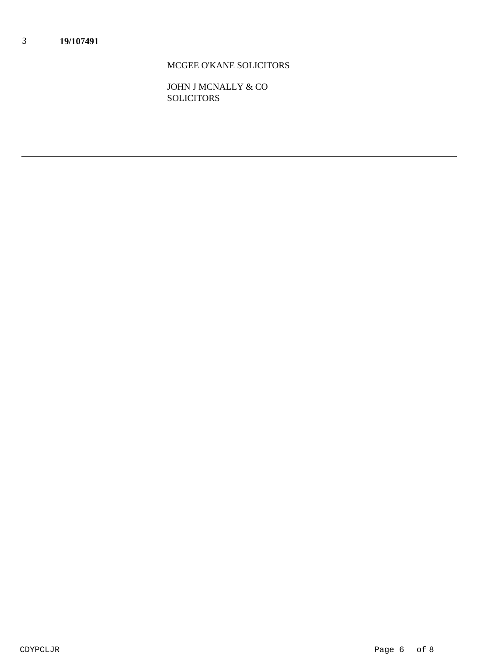# MCGEE O'KANE SOLICITORS

JOHN J MCNALLY & CO **SOLICITORS**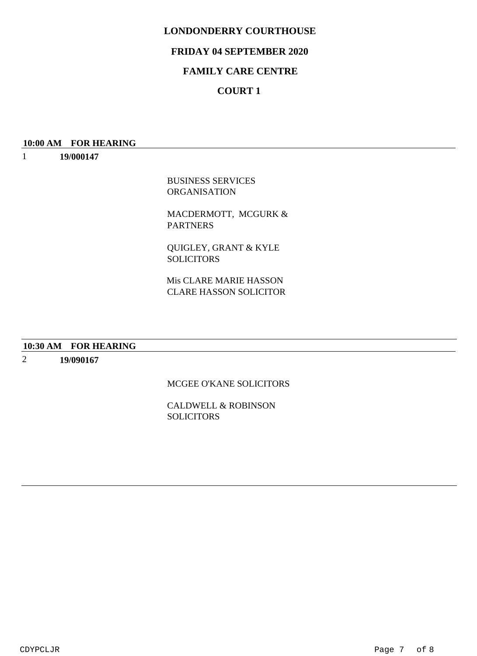# **FRIDAY 04 SEPTEMBER 2020**

# **FAMILY CARE CENTRE**

# **COURT 1**

### **10:00 AM FOR HEARING**

1 **19/000147**

> BUSINESS SERVICES ORGANISATION

MACDERMOTT, MCGURK & PARTNERS

QUIGLEY, GRANT & KYLE **SOLICITORS** 

CLARE HASSON SOLICITOR Mis CLARE MARIE HASSON

# **10:30 AM FOR HEARING**

2 **19/090167**

## MCGEE O'KANE SOLICITORS

CALDWELL & ROBINSON SOLICITORS